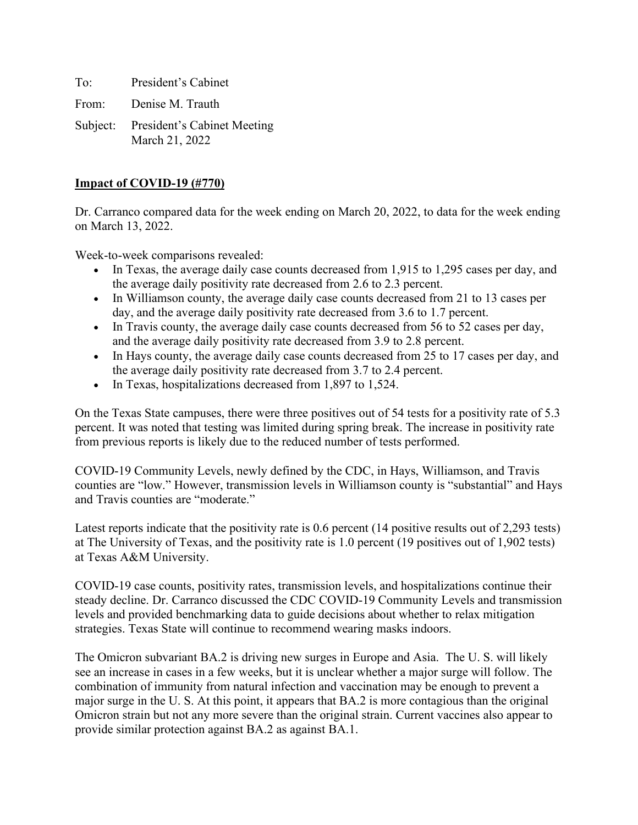To: President's Cabinet

From: Denise M. Trauth

Subject: President's Cabinet Meeting March 21, 2022

#### **Impact of COVID-19 (#770)**

Dr. Carranco compared data for the week ending on March 20, 2022, to data for the week ending on March 13, 2022.

Week-to-week comparisons revealed:

- In Texas, the average daily case counts decreased from 1,915 to 1,295 cases per day, and the average daily positivity rate decreased from 2.6 to 2.3 percent.
- In Williamson county, the average daily case counts decreased from 21 to 13 cases per day, and the average daily positivity rate decreased from 3.6 to 1.7 percent.
- In Travis county, the average daily case counts decreased from 56 to 52 cases per day, and the average daily positivity rate decreased from 3.9 to 2.8 percent.
- In Hays county, the average daily case counts decreased from 25 to 17 cases per day, and the average daily positivity rate decreased from 3.7 to 2.4 percent.
- In Texas, hospitalizations decreased from 1,897 to 1,524.

On the Texas State campuses, there were three positives out of 54 tests for a positivity rate of 5.3 percent. It was noted that testing was limited during spring break. The increase in positivity rate from previous reports is likely due to the reduced number of tests performed.

COVID-19 Community Levels, newly defined by the CDC, in Hays, Williamson, and Travis counties are "low." However, transmission levels in Williamson county is "substantial" and Hays and Travis counties are "moderate."

Latest reports indicate that the positivity rate is 0.6 percent (14 positive results out of 2,293 tests) at The University of Texas, and the positivity rate is 1.0 percent (19 positives out of 1,902 tests) at Texas A&M University.

COVID-19 case counts, positivity rates, transmission levels, and hospitalizations continue their steady decline. Dr. Carranco discussed the CDC COVID-19 Community Levels and transmission levels and provided benchmarking data to guide decisions about whether to relax mitigation strategies. Texas State will continue to recommend wearing masks indoors.

The Omicron subvariant BA.2 is driving new surges in Europe and Asia. The U. S. will likely see an increase in cases in a few weeks, but it is unclear whether a major surge will follow. The combination of immunity from natural infection and vaccination may be enough to prevent a major surge in the U. S. At this point, it appears that BA.2 is more contagious than the original Omicron strain but not any more severe than the original strain. Current vaccines also appear to provide similar protection against BA.2 as against BA.1.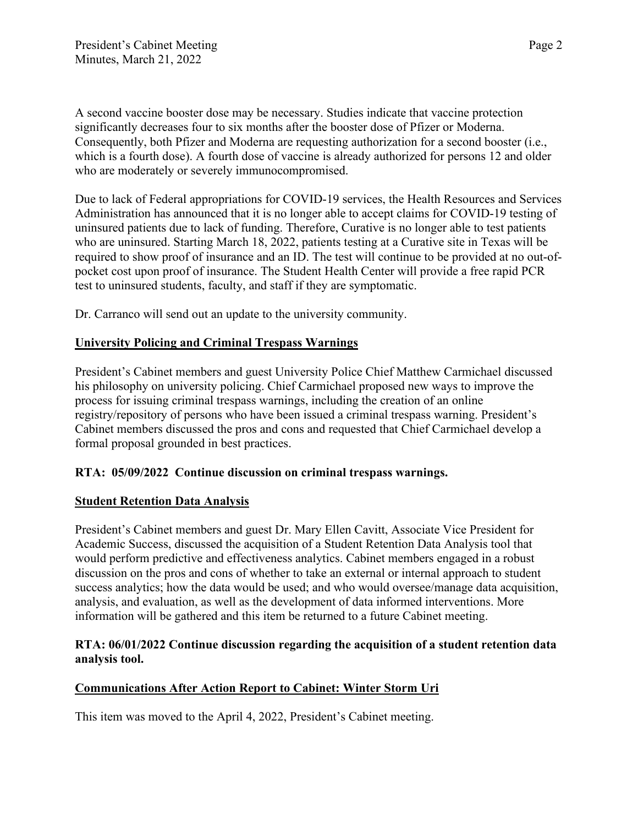A second vaccine booster dose may be necessary. Studies indicate that vaccine protection significantly decreases four to six months after the booster dose of Pfizer or Moderna. Consequently, both Pfizer and Moderna are requesting authorization for a second booster (i.e., which is a fourth dose). A fourth dose of vaccine is already authorized for persons 12 and older who are moderately or severely immunocompromised.

Due to lack of Federal appropriations for COVID-19 services, the Health Resources and Services Administration has announced that it is no longer able to accept claims for COVID-19 testing of uninsured patients due to lack of funding. Therefore, Curative is no longer able to test patients who are uninsured. Starting March 18, 2022, patients testing at a Curative site in Texas will be required to show proof of insurance and an ID. The test will continue to be provided at no out-ofpocket cost upon proof of insurance. The Student Health Center will provide a free rapid PCR test to uninsured students, faculty, and staff if they are symptomatic.

Dr. Carranco will send out an update to the university community.

## **University Policing and Criminal Trespass Warnings**

President's Cabinet members and guest University Police Chief Matthew Carmichael discussed his philosophy on university policing. Chief Carmichael proposed new ways to improve the process for issuing criminal trespass warnings, including the creation of an online registry/repository of persons who have been issued a criminal trespass warning. President's Cabinet members discussed the pros and cons and requested that Chief Carmichael develop a formal proposal grounded in best practices.

## **RTA: 05/09/2022 Continue discussion on criminal trespass warnings.**

## **Student Retention Data Analysis**

President's Cabinet members and guest Dr. Mary Ellen Cavitt, Associate Vice President for Academic Success, discussed the acquisition of a Student Retention Data Analysis tool that would perform predictive and effectiveness analytics. Cabinet members engaged in a robust discussion on the pros and cons of whether to take an external or internal approach to student success analytics; how the data would be used; and who would oversee/manage data acquisition, analysis, and evaluation, as well as the development of data informed interventions. More information will be gathered and this item be returned to a future Cabinet meeting.

#### **RTA: 06/01/2022 Continue discussion regarding the acquisition of a student retention data analysis tool.**

## **Communications After Action Report to Cabinet: Winter Storm Uri**

This item was moved to the April 4, 2022, President's Cabinet meeting.